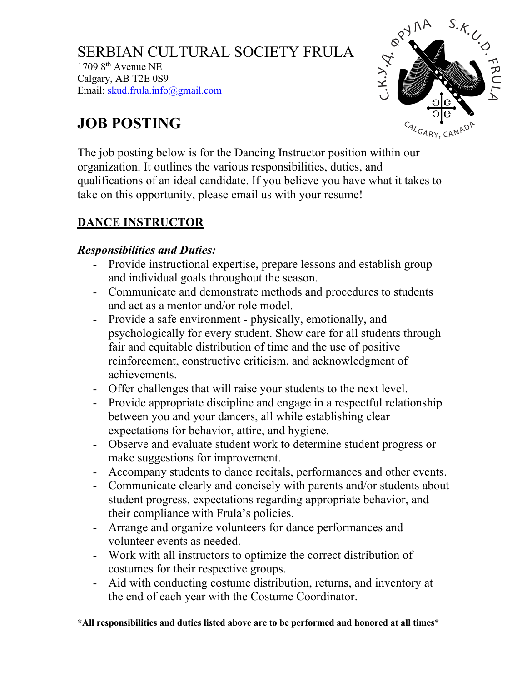SERBIAN CULTURAL SOCIETY FRULA  $17098$ <sup>th</sup> Avenue NE Calgary, AB T2E 0S9 Email: skud.frula.info@gmail.com



# **JOB POSTING**

The job posting below is for the Dancing Instructor position within our organization. It outlines the various responsibilities, duties, and qualifications of an ideal candidate. If you believe you have what it takes to take on this opportunity, please email us with your resume!

## **DANCE INSTRUCTOR**

### *Responsibilities and Duties:*

- Provide instructional expertise, prepare lessons and establish group and individual goals throughout the season.
- Communicate and demonstrate methods and procedures to students and act as a mentor and/or role model.
- Provide a safe environment physically, emotionally, and psychologically for every student. Show care for all students through fair and equitable distribution of time and the use of positive reinforcement, constructive criticism, and acknowledgment of achievements.
- Offer challenges that will raise your students to the next level.
- Provide appropriate discipline and engage in a respectful relationship between you and your dancers, all while establishing clear expectations for behavior, attire, and hygiene.
- Observe and evaluate student work to determine student progress or make suggestions for improvement.
- Accompany students to dance recitals, performances and other events.
- Communicate clearly and concisely with parents and/or students about student progress, expectations regarding appropriate behavior, and their compliance with Frula's policies.
- Arrange and organize volunteers for dance performances and volunteer events as needed.
- Work with all instructors to optimize the correct distribution of costumes for their respective groups.
- Aid with conducting costume distribution, returns, and inventory at the end of each year with the Costume Coordinator.

**\*All responsibilities and duties listed above are to be performed and honored at all times**\*